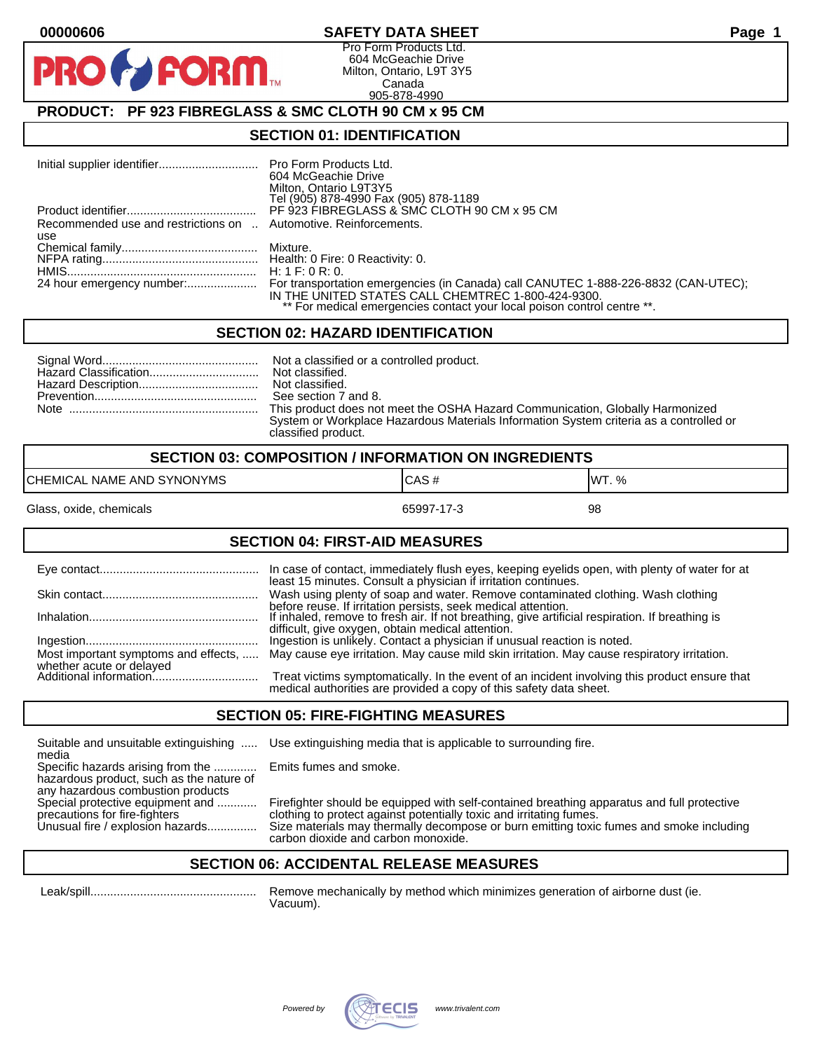#### **00000606 SAFETY DATA SHEET Page 1**

Pro Form Products Ltd. 604 McGeachie Drive Milton, Ontario, L9T 3Y5 Canada 905-878-4990

# **PRODUCT: PF 923 FIBREGLASS & SMC CLOTH 90 CM x 95 CM**

**FORM.** 

#### **SECTION 01: IDENTIFICATION**

|                                                                  | 604 McGeachie Drive<br>Milton, Ontario L9T3Y5<br>Tel (905) 878-4990 Fax (905) 878-1189                                                                                                                              |
|------------------------------------------------------------------|---------------------------------------------------------------------------------------------------------------------------------------------------------------------------------------------------------------------|
|                                                                  | PF 923 FIBREGLASS & SMC CLOTH 90 CM x 95 CM                                                                                                                                                                         |
| Recommended use and restrictions on  Automotive. Reinforcements. |                                                                                                                                                                                                                     |
| use                                                              |                                                                                                                                                                                                                     |
|                                                                  |                                                                                                                                                                                                                     |
|                                                                  |                                                                                                                                                                                                                     |
|                                                                  |                                                                                                                                                                                                                     |
|                                                                  | For transportation emergencies (in Canada) call CANUTEC 1-888-226-8832 (CAN-UTEC);<br>IN THE UNITED STATES CALL CHEMTREC 1-800-424-9300.<br>** For medical emergencies contact your local poison control centre **. |

#### **SECTION 02: HAZARD IDENTIFICATION**

| This product does not meet the OSHA Hazard Communication, Globally Harmonized          |
|----------------------------------------------------------------------------------------|
| System or Workplace Hazardous Materials Information System criteria as a controlled or |
| classified product.                                                                    |

| <b>SECTION 03: COMPOSITION / INFORMATION ON INGREDIENTS</b> |            |        |
|-------------------------------------------------------------|------------|--------|
| CHEMICAL NAME AND SYNONYMS                                  | ICAS#      | IWT. % |
| Glass, oxide, chemicals                                     | 65997-17-3 | 98     |

#### **SECTION 04: FIRST-AID MEASURES**

|                                                    | In case of contact, immediately flush eyes, keeping eyelids open, with plenty of water for at<br>least 15 minutes. Consult a physician if irritation continues.     |
|----------------------------------------------------|---------------------------------------------------------------------------------------------------------------------------------------------------------------------|
|                                                    | Wash using plenty of soap and water. Remove contaminated clothing. Wash clothing<br>before reuse. If irritation persists, seek medical attention.                   |
|                                                    | If inhaled, remove to fresh air. If not breathing, give artificial respiration. If breathing is<br>difficult, give oxygen, obtain medical attention.                |
|                                                    | Ingestion is unlikely. Contact a physician if unusual reaction is noted.                                                                                            |
| Most important symptoms and effects,               | May cause eye irritation. May cause mild skin irritation. May cause respiratory irritation.                                                                         |
| whether acute or delayed<br>Additional information | Treat victims symptomatically. In the event of an incident involving this product ensure that<br>medical authorities are provided a copy of this safety data sheet. |

#### **SECTION 05: FIRE-FIGHTING MEASURES**

Suitable and unsuitable extinguishing ..... Use extinguishing media that is applicable to surrounding fire. media

Specific hazards arising from the ............. Emits fumes and smoke. hazardous product, such as the nature of any hazardous combustion products<br>Special protective equipment and ............

Special protective equipment and ............ Firefighter should be equipped with self-contained breathing apparatus and full protective<br>precautions for fire-fighters on the clothing to protect against potentially toxic an precautions for fire-fighters clothing to protect against potentially toxic and irritating fumes.<br>Unusual fire / explosion hazards................ Size materials may thermally decompose or burn emitting toxic Size materials may thermally decompose or burn emitting toxic fumes and smoke including carbon dioxide and carbon monoxide.

#### **SECTION 06: ACCIDENTAL RELEASE MEASURES**

 Leak/spill.................................................. Remove mechanically by method which minimizes generation of airborne dust (ie. Vacuum).

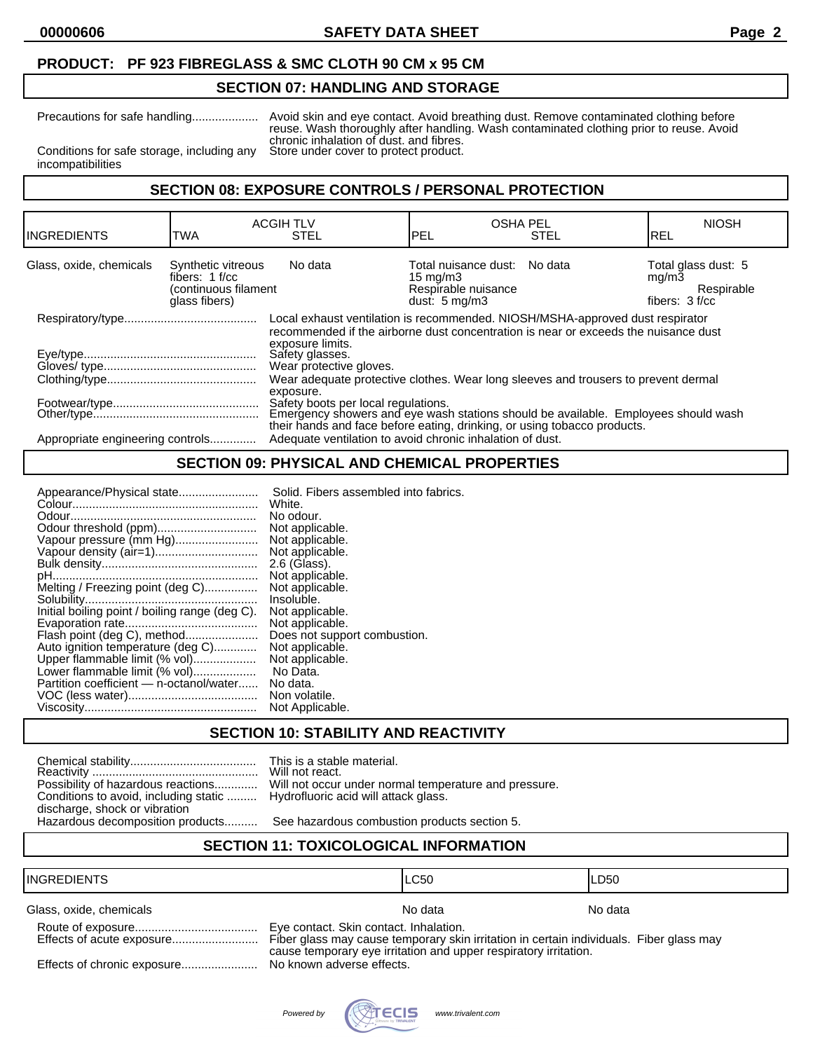### **PRODUCT: PF 923 FIBREGLASS & SMC CLOTH 90 CM x 95 CM**

## **SECTION 07: HANDLING AND STORAGE**

Precautions for safe handling.................... Avoid skin and eye contact. Avoid breathing dust. Remove contaminated clothing before reuse. Wash thoroughly after handling. Wash contaminated clothing prior to reuse. Avoid chronic inhalation of dust. and fibres.<br>Store under cover to protect product.

Conditions for safe storage, including any incompatibilities

### **SECTION 08: EXPOSURE CONTROLS / PERSONAL PROTECTION**

| <b>TWA</b>                                                                                                                                                                                                                             | <b>STEL</b>                      | PEL                                                   | <b>STEL</b>                                                                                           | <b>NIOSH</b><br>IREL                                                                                                                                                                                                                                                                                                                                                 |
|----------------------------------------------------------------------------------------------------------------------------------------------------------------------------------------------------------------------------------------|----------------------------------|-------------------------------------------------------|-------------------------------------------------------------------------------------------------------|----------------------------------------------------------------------------------------------------------------------------------------------------------------------------------------------------------------------------------------------------------------------------------------------------------------------------------------------------------------------|
| Synthetic vitreous<br>fibers: $1 f/cc$<br>glass fibers)                                                                                                                                                                                | No data                          |                                                       |                                                                                                       | Total glass dust: 5<br>mq/m3<br>Respirable<br>fibers: 3 f/cc                                                                                                                                                                                                                                                                                                         |
| Local exhaust ventilation is recommended. NIOSH/MSHA-approved dust respirator<br>recommended if the airborne dust concentration is near or exceeds the nuisance dust<br>exposure limits.<br>Safety glasses.<br>Wear protective gloves. |                                  |                                                       |                                                                                                       |                                                                                                                                                                                                                                                                                                                                                                      |
|                                                                                                                                                                                                                                        |                                  |                                                       |                                                                                                       |                                                                                                                                                                                                                                                                                                                                                                      |
|                                                                                                                                                                                                                                        | Appropriate engineering controls | <b>ACGIH TLV</b><br>(continuous filament<br>exposure. | 15 mg/m $3$<br>Respirable nuisance<br>dust: $5 \text{ ma/m}$ 3<br>Safety boots per local regulations. | <b>OSHA PEL</b><br>Total nuisance dust: No data<br>Wear adequate protective clothes. Wear long sleeves and trousers to prevent dermal<br>Emergency showers and eye wash stations should be available. Employees should wash<br>their hands and face before eating, drinking, or using tobacco products.<br>Adequate ventilation to avoid chronic inhalation of dust. |

# **SECTION 09: PHYSICAL AND CHEMICAL PROPERTIES**

| Appearance/Physical state                      | Solid. Fibers assembled into fabrics. |
|------------------------------------------------|---------------------------------------|
|                                                | White.                                |
|                                                | No odour.                             |
| Odour threshold (ppm)                          | Not applicable.                       |
| Vapour pressure (mm Hg)                        | Not applicable.                       |
| Vapour density (air=1)                         | Not applicable.                       |
|                                                | 2.6 (Glass).                          |
|                                                | Not applicable.                       |
| Melting / Freezing point (deg C)               | Not applicable.                       |
|                                                | Insoluble.                            |
| Initial boiling point / boiling range (deg C). | Not applicable.                       |
|                                                | Not applicable.                       |
| Flash point (deg C), method                    | Does not support combustion.          |
| Auto ignition temperature (deg C)              | Not applicable.                       |
| Upper flammable limit (% vol)                  | Not applicable.                       |
| Lower flammable limit (% vol)                  | No Data.                              |
| Partition coefficient - n-octanol/water        | No data.                              |
|                                                | Non volatile.                         |
|                                                | Not Applicable.                       |
|                                                |                                       |

#### **SECTION 10: STABILITY AND REACTIVITY**

| Possibility of hazardous reactions    |
|---------------------------------------|
| Conditions to avoid, including static |
| discharge, shock or vibration         |
| Hazardous decomposition products      |

This is a stable material. Will not react. Will not occur under normal temperature and pressure. Hydrofluoric acid will attack glass.

See hazardous combustion products section 5.

### **SECTION 11: TOXICOLOGICAL INFORMATION**

#### INGREDIENTS LC50 LD50

Glass, oxide, chemicals Note and America Control of the North American Note and America North America North America North America North America North America North America North America North America North America North Am

| Effects of acute exposure   |
|-----------------------------|
| Effects of chronic exposure |

Eye contact. Skin contact. Inhalation.

Fiber glass may cause temporary skin irritation in certain individuals. Fiber glass may cause temporary eye irritation and upper respiratory irritation.